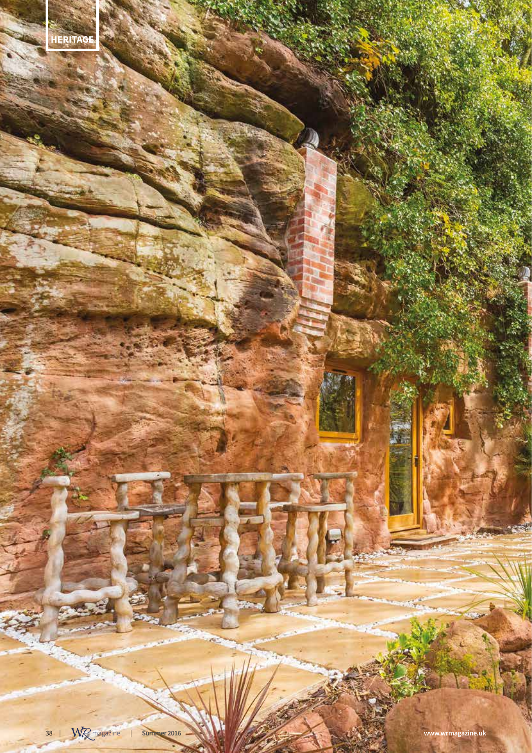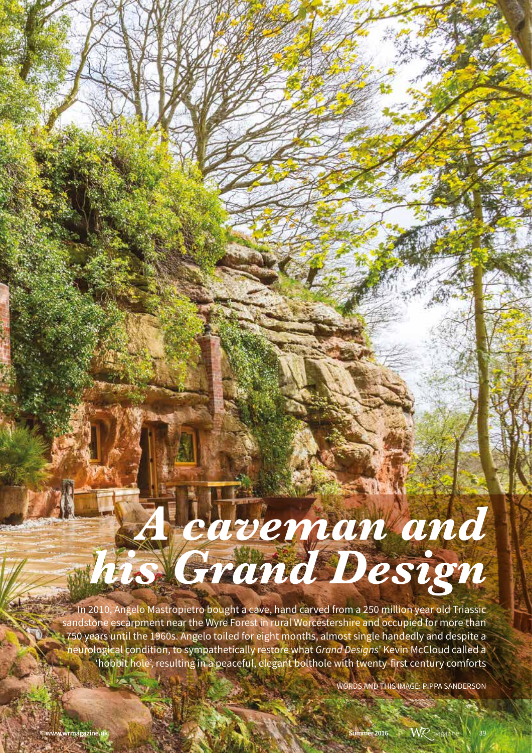# *A caveman and his Grand Design*

In 2010, Angelo Mastropietro bought a cave, hand carved from a 250 million year old Triassic sandstone escarpment near the Wyre Forest in rural Worcestershire and occupied for more than  $122$  750 years until the 1960s. Angelo toiled for eight months, almost single handedly and despite a neurological condition, to sympathetically restore what *Grand Designs*' Kevin McCloud called a 'hobbit hole', resulting in a peaceful, elegant bolthole with twenty-first century comforts

WORDS AND THIS IMAGE: PIPPA SANDERSON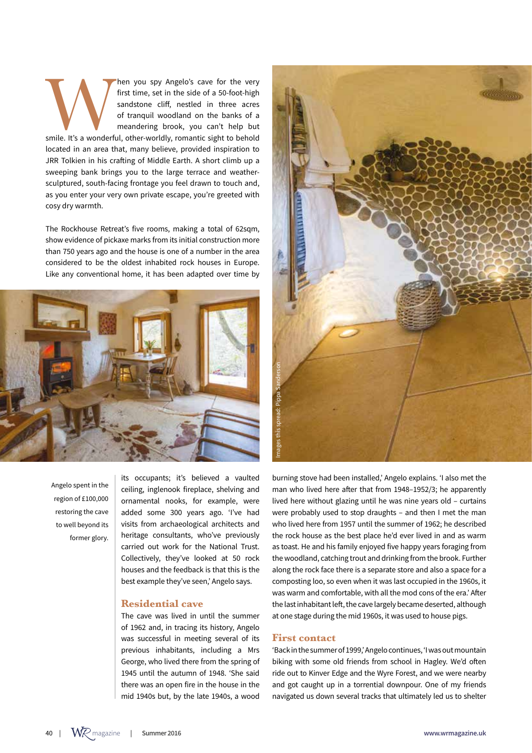Then you spy Angelo's cave for the very<br>
first time, set in the side of a 50-foot-high<br>
sandstone cliff, nestled in three acres<br>
of tranquil woodland on the banks of a<br>
meandering brook, you can't help but<br>
smile. It's a w first time, set in the side of a 50-foot-high sandstone cliff, nestled in three acres of tranquil woodland on the banks of a meandering brook, you can't help but located in an area that, many believe, provided inspiration to JRR Tolkien in his crafting of Middle Earth. A short climb up a sweeping bank brings you to the large terrace and weathersculptured, south-facing frontage you feel drawn to touch and, as you enter your very own private escape, you're greeted with cosy dry warmth.

The Rockhouse Retreat's five rooms, making a total of 62sqm, show evidence of pickaxe marks from its initial construction more than 750 years ago and the house is one of a number in the area considered to be the oldest inhabited rock houses in Europe. Like any conventional home, it has been adapted over time by



Angelo spent in the region of £100,000 restoring the cave to well beyond its former glory.

its occupants; it's believed a vaulted ceiling, inglenook fireplace, shelving and ornamental nooks, for example, were added some 300 years ago. 'I've had visits from archaeological architects and heritage consultants, who've previously carried out work for the National Trust. Collectively, they've looked at 50 rock houses and the feedback is that this is the best example they've seen,' Angelo says.

# **Residential cave**

The cave was lived in until the summer of 1962 and, in tracing its history, Angelo was successful in meeting several of its previous inhabitants, including a Mrs George, who lived there from the spring of 1945 until the autumn of 1948. 'She said there was an open fire in the house in the mid 1940s but, by the late 1940s, a wood



burning stove had been installed,' Angelo explains. 'I also met the man who lived here after that from 1948–1952/3; he apparently lived here without glazing until he was nine years old – curtains were probably used to stop draughts – and then I met the man who lived here from 1957 until the summer of 1962; he described the rock house as the best place he'd ever lived in and as warm as toast. He and his family enjoyed five happy years foraging from the woodland, catching trout and drinking from the brook. Further along the rock face there is a separate store and also a space for a composting loo, so even when it was last occupied in the 1960s, it was warm and comfortable, with all the mod cons of the era.' After the last inhabitant left, the cave largely became deserted, although at one stage during the mid 1960s, it was used to house pigs.

#### **First contact**

'Back in the summer of 1999,' Angelo continues, 'I was out mountain biking with some old friends from school in Hagley. We'd often ride out to Kinver Edge and the Wyre Forest, and we were nearby and got caught up in a torrential downpour. One of my friends navigated us down several tracks that ultimately led us to shelter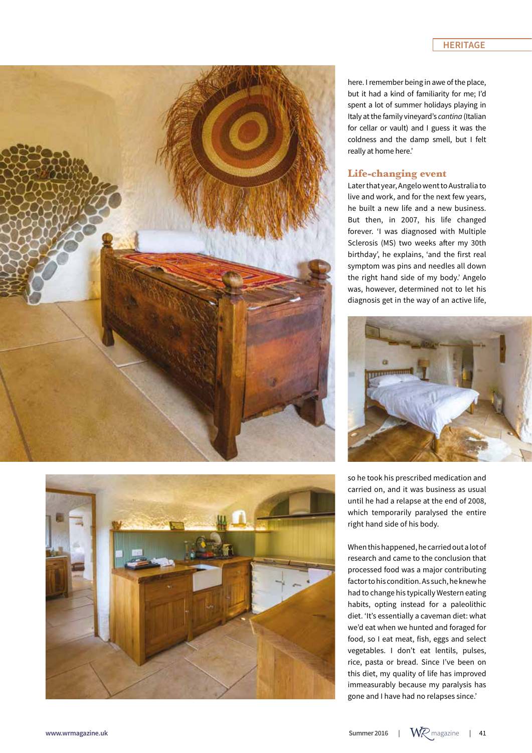## **HERITAGE**





here. I remember being in awe of the place, but it had a kind of familiarity for me; I'd spent a lot of summer holidays playing in Italy at the family vineyard's *cantina* (Italian for cellar or vault) and I guess it was the coldness and the damp smell, but I felt really at home here.'

### **Life-changing event**

Later that year, Angelo went to Australia to live and work, and for the next few years, he built a new life and a new business. But then, in 2007, his life changed forever. 'I was diagnosed with Multiple Sclerosis (MS) two weeks after my 30th birthday', he explains, 'and the first real symptom was pins and needles all down the right hand side of my body.' Angelo was, however, determined not to let his diagnosis get in the way of an active life,



so he took his prescribed medication and carried on, and it was business as usual until he had a relapse at the end of 2008, which temporarily paralysed the entire right hand side of his body.

When this happened, he carried out a lot of research and came to the conclusion that processed food was a major contributing factor to his condition. As such, he knew he had to change his typically Western eating habits, opting instead for a paleolithic diet. 'It's essentially a caveman diet: what we'd eat when we hunted and foraged for food, so I eat meat, fish, eggs and select vegetables. I don't eat lentils, pulses, rice, pasta or bread. Since I've been on this diet, my quality of life has improved immeasurably because my paralysis has gone and I have had no relapses since.'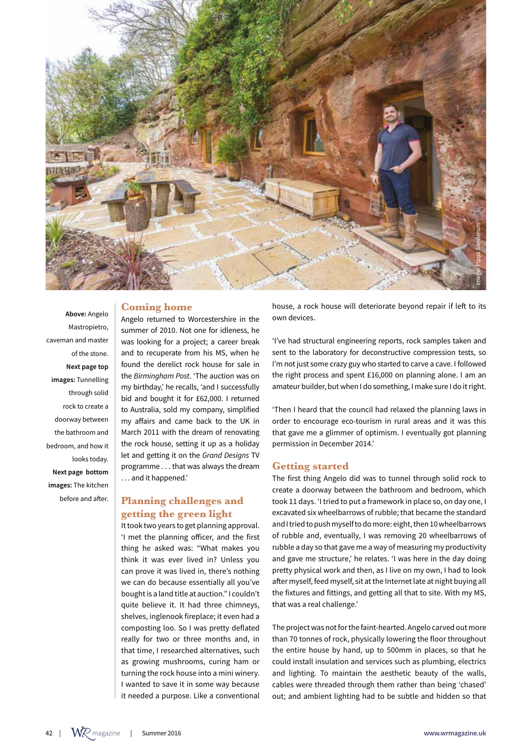

# **Coming home**

**Above:** Angelo Mastropietro, caveman and master of the stone. **Next page top images:** Tunnelling through solid rock to create a doorway between the bathroom and bedroom, and how it looks today. **Next page bottom images:** The kitchen before and after.

Angelo returned to Worcestershire in the summer of 2010. Not one for idleness, he was looking for a project; a career break and to recuperate from his MS, when he found the derelict rock house for sale in the *Birmingham Post*. 'The auction was on my birthday,' he recalls, 'and I successfully bid and bought it for £62,000. I returned to Australia, sold my company, simplified my affairs and came back to the UK in March 2011 with the dream of renovating the rock house, setting it up as a holiday let and getting it on the *Grand Designs* TV programme . . . that was always the dream . . . and it happened.'

# **Planning challenges and getting the green light**

It took two years to get planning approval. 'I met the planning officer, and the first thing he asked was: "What makes you think it was ever lived in? Unless you can prove it was lived in, there's nothing we can do because essentially all you've bought is a land title at auction." I couldn't quite believe it. It had three chimneys, shelves, inglenook fireplace; it even had a composting loo. So I was pretty deflated really for two or three months and, in that time, I researched alternatives, such as growing mushrooms, curing ham or turning the rock house into a mini winery. I wanted to save it in some way because it needed a purpose. Like a conventional

house, a rock house will deteriorate beyond repair if left to its own devices.

'I've had structural engineering reports, rock samples taken and sent to the laboratory for deconstructive compression tests, so I'm not just some crazy guy who started to carve a cave. I followed the right process and spent £16,000 on planning alone. I am an amateur builder, but when I do something, I make sure I do it right.

'Then I heard that the council had relaxed the planning laws in order to encourage eco-tourism in rural areas and it was this that gave me a glimmer of optimism. I eventually got planning permission in December 2014.'

## **Getting started**

The first thing Angelo did was to tunnel through solid rock to create a doorway between the bathroom and bedroom, which took 11 days. 'I tried to put a framework in place so, on day one, I excavated six wheelbarrows of rubble; that became the standard and I tried to push myself to do more: eight, then 10 wheelbarrows of rubble and, eventually, I was removing 20 wheelbarrows of rubble a day so that gave me a way of measuring my productivity and gave me structure,' he relates. 'I was here in the day doing pretty physical work and then, as I live on my own, I had to look after myself, feed myself, sit at the Internet late at night buying all the fixtures and fittings, and getting all that to site. With my MS, that was a real challenge.'

The project was not for the faint-hearted. Angelo carved out more than 70 tonnes of rock, physically lowering the floor throughout the entire house by hand, up to 500mm in places, so that he could install insulation and services such as plumbing, electrics and lighting. To maintain the aesthetic beauty of the walls, cables were threaded through them rather than being 'chased' out; and ambient lighting had to be subtle and hidden so that